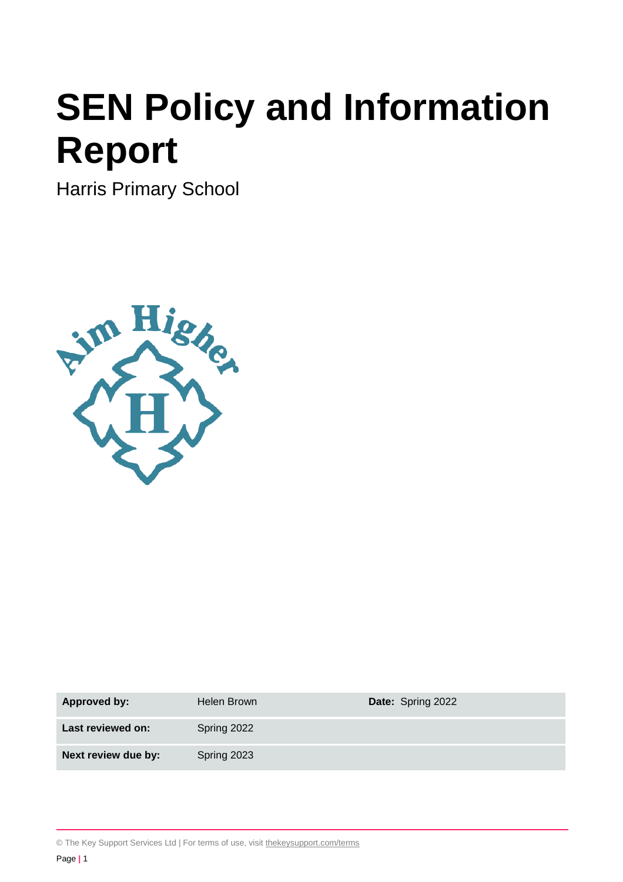# **SEN Policy and Information Report**

Harris Primary School



| <b>Approved by:</b> | Helen Brown | Date: Spring 2022 |
|---------------------|-------------|-------------------|
| Last reviewed on:   | Spring 2022 |                   |
| Next review due by: | Spring 2023 |                   |

© The Key Support Services Ltd | For terms of use, visit [thekeysupport.com/terms](https://thekeysupport.com/terms-of-use)

Page **|** 1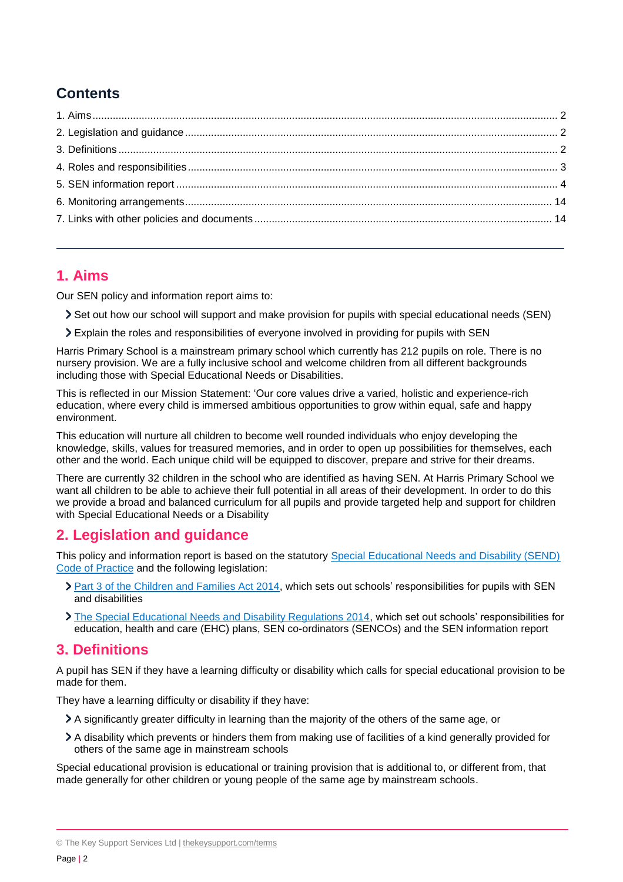# **Contents**

# <span id="page-1-0"></span>**1. Aims**

Our SEN policy and information report aims to:

- Set out how our school will support and make provision for pupils with special educational needs (SEN)
- Explain the roles and responsibilities of everyone involved in providing for pupils with SEN

Harris Primary School is a mainstream primary school which currently has 212 pupils on role. There is no nursery provision. We are a fully inclusive school and welcome children from all different backgrounds including those with Special Educational Needs or Disabilities.

This is reflected in our Mission Statement: 'Our core values drive a varied, holistic and experience-rich education, where every child is immersed ambitious opportunities to grow within equal, safe and happy environment.

This education will nurture all children to become well rounded individuals who enjoy developing the knowledge, skills, values for treasured memories, and in order to open up possibilities for themselves, each other and the world. Each unique child will be equipped to discover, prepare and strive for their dreams.

There are currently 32 children in the school who are identified as having SEN. At Harris Primary School we want all children to be able to achieve their full potential in all areas of their development. In order to do this we provide a broad and balanced curriculum for all pupils and provide targeted help and support for children with Special Educational Needs or a Disability

# <span id="page-1-1"></span>**2. Legislation and guidance**

This policy and information report is based on the statutory [Special Educational Needs and Disability \(SEND\)](https://www.gov.uk/government/uploads/system/uploads/attachment_data/file/398815/SEND_Code_of_Practice_January_2015.pdf)  [Code of Practice](https://www.gov.uk/government/uploads/system/uploads/attachment_data/file/398815/SEND_Code_of_Practice_January_2015.pdf) and the following legislation:

- > [Part 3 of the Children and Families Act 2014,](http://www.legislation.gov.uk/ukpga/2014/6/part/3) which sets out schools' responsibilities for pupils with SEN and disabilities
- [The Special Educational Needs and Disability Regulations 2014,](http://www.legislation.gov.uk/uksi/2014/1530/contents/made) which set out schools' responsibilities for education, health and care (EHC) plans, SEN co-ordinators (SENCOs) and the SEN information report

## <span id="page-1-2"></span>**3. Definitions**

A pupil has SEN if they have a learning difficulty or disability which calls for special educational provision to be made for them.

They have a learning difficulty or disability if they have:

- A significantly greater difficulty in learning than the majority of the others of the same age, or
- A disability which prevents or hinders them from making use of facilities of a kind generally provided for others of the same age in mainstream schools

Special educational provision is educational or training provision that is additional to, or different from, that made generally for other children or young people of the same age by mainstream schools.

<sup>©</sup> The Key Support Services Ltd | [thekeysupport.com/terms](https://thekeysupport.com/terms-of-use)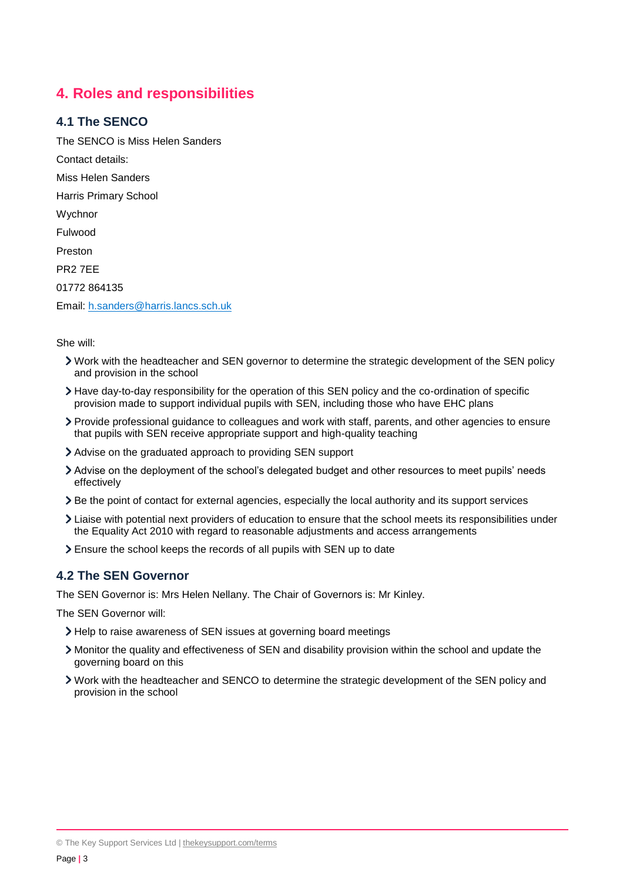# <span id="page-2-0"></span>**4. Roles and responsibilities**

## **4.1 The SENCO**

The SENCO is Miss Helen Sanders Contact details: Miss Helen Sanders Harris Primary School **Wychnor** Fulwood Preston PR2 7EE 01772 864135 Email: [h.sanders@harris.lancs.sch.uk](mailto:h.sanders@harris.lancs.sch.uk)

She will:

- Work with the headteacher and SEN governor to determine the strategic development of the SEN policy and provision in the school
- Have day-to-day responsibility for the operation of this SEN policy and the co-ordination of specific provision made to support individual pupils with SEN, including those who have EHC plans
- Provide professional guidance to colleagues and work with staff, parents, and other agencies to ensure that pupils with SEN receive appropriate support and high-quality teaching
- Advise on the graduated approach to providing SEN support
- Advise on the deployment of the school's delegated budget and other resources to meet pupils' needs effectively
- Be the point of contact for external agencies, especially the local authority and its support services
- Liaise with potential next providers of education to ensure that the school meets its responsibilities under the Equality Act 2010 with regard to reasonable adjustments and access arrangements
- Ensure the school keeps the records of all pupils with SEN up to date

#### **4.2 The SEN Governor**

The SEN Governor is: Mrs Helen Nellany. The Chair of Governors is: Mr Kinley.

The SEN Governor will:

- Help to raise awareness of SEN issues at governing board meetings
- Monitor the quality and effectiveness of SEN and disability provision within the school and update the governing board on this
- Work with the headteacher and SENCO to determine the strategic development of the SEN policy and provision in the school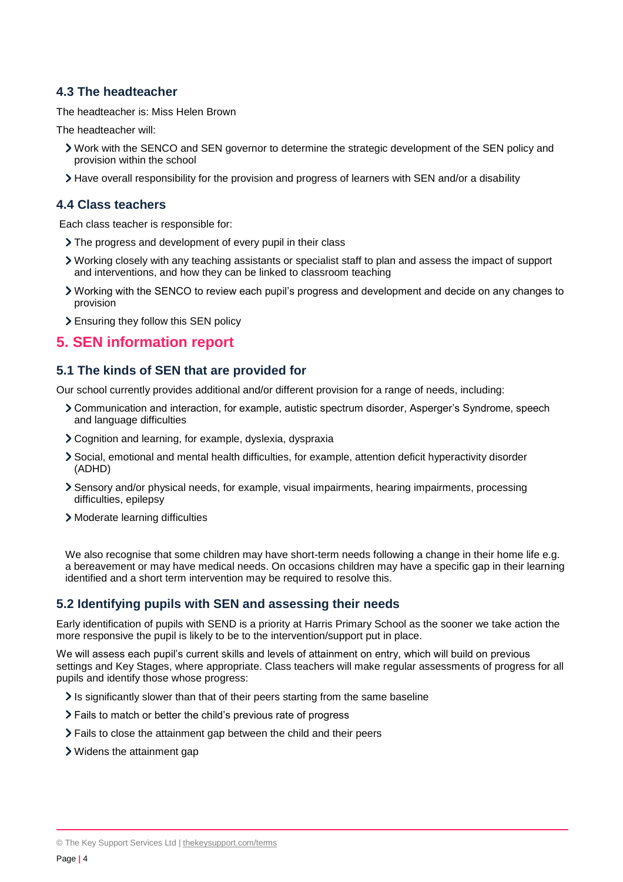## **4.3 The headteacher**

The headteacher is: Miss Helen Brown

The headteacher will:

- Work with the SENCO and SEN governor to determine the strategic development of the SEN policy and provision within the school
- Have overall responsibility for the provision and progress of learners with SEN and/or a disability

#### **4.4 Class teachers**

Each class teacher is responsible for:

- > The progress and development of every pupil in their class
- Working closely with any teaching assistants or specialist staff to plan and assess the impact of support and interventions, and how they can be linked to classroom teaching
- Working with the SENCO to review each pupil's progress and development and decide on any changes to provision
- Ensuring they follow this SEN policy

## <span id="page-3-0"></span>**5. SEN information report**

#### **5.1 The kinds of SEN that are provided for**

Our school currently provides additional and/or different provision for a range of needs, including:

- Communication and interaction, for example, autistic spectrum disorder, Asperger's Syndrome, speech and language difficulties
- Cognition and learning, for example, dyslexia, dyspraxia
- Social, emotional and mental health difficulties, for example, attention deficit hyperactivity disorder (ADHD)
- Sensory and/or physical needs, for example, visual impairments, hearing impairments, processing difficulties, epilepsy
- Moderate learning difficulties

We also recognise that some children may have short-term needs following a change in their home life e.g. a bereavement or may have medical needs. On occasions children may have a specific gap in their learning identified and a short term intervention may be required to resolve this.

#### **5.2 Identifying pupils with SEN and assessing their needs**

Early identification of pupils with SEND is a priority at Harris Primary School as the sooner we take action the more responsive the pupil is likely to be to the intervention/support put in place.

We will assess each pupil's current skills and levels of attainment on entry, which will build on previous settings and Key Stages, where appropriate. Class teachers will make regular assessments of progress for all pupils and identify those whose progress:

- It is significantly slower than that of their peers starting from the same baseline
- Fails to match or better the child's previous rate of progress
- Fails to close the attainment gap between the child and their peers
- Widens the attainment gap

<sup>©</sup> The Key Support Services Ltd | [thekeysupport.com/terms](https://thekeysupport.com/terms-of-use)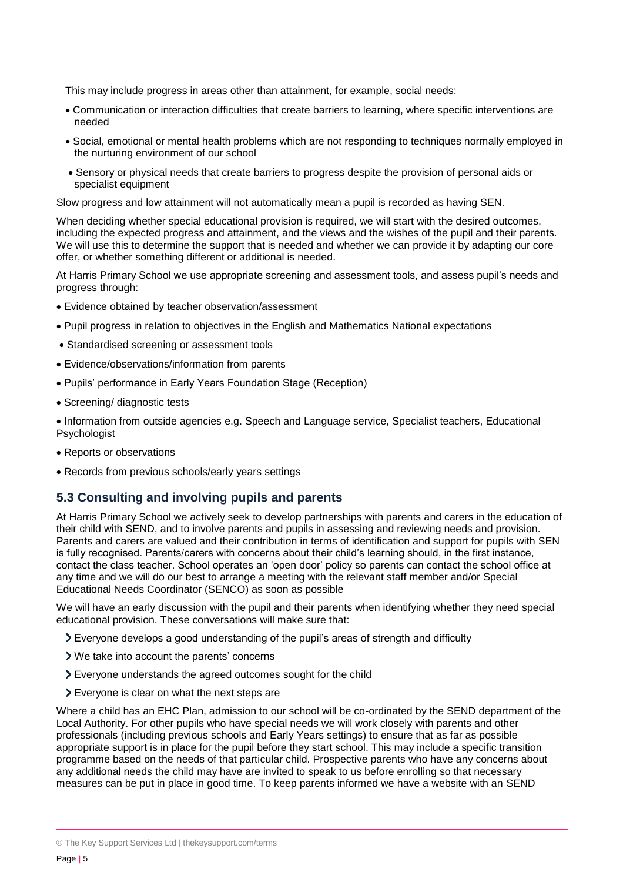This may include progress in areas other than attainment, for example, social needs:

- Communication or interaction difficulties that create barriers to learning, where specific interventions are needed
- Social, emotional or mental health problems which are not responding to techniques normally employed in the nurturing environment of our school
- Sensory or physical needs that create barriers to progress despite the provision of personal aids or specialist equipment

Slow progress and low attainment will not automatically mean a pupil is recorded as having SEN.

When deciding whether special educational provision is required, we will start with the desired outcomes, including the expected progress and attainment, and the views and the wishes of the pupil and their parents. We will use this to determine the support that is needed and whether we can provide it by adapting our core offer, or whether something different or additional is needed.

At Harris Primary School we use appropriate screening and assessment tools, and assess pupil's needs and progress through:

- Evidence obtained by teacher observation/assessment
- Pupil progress in relation to objectives in the English and Mathematics National expectations
- Standardised screening or assessment tools
- Evidence/observations/information from parents
- Pupils' performance in Early Years Foundation Stage (Reception)
- Screening/ diagnostic tests

 Information from outside agencies e.g. Speech and Language service, Specialist teachers, Educational Psychologist

- Reports or observations
- Records from previous schools/early years settings

#### **5.3 Consulting and involving pupils and parents**

At Harris Primary School we actively seek to develop partnerships with parents and carers in the education of their child with SEND, and to involve parents and pupils in assessing and reviewing needs and provision. Parents and carers are valued and their contribution in terms of identification and support for pupils with SEN is fully recognised. Parents/carers with concerns about their child's learning should, in the first instance, contact the class teacher. School operates an 'open door' policy so parents can contact the school office at any time and we will do our best to arrange a meeting with the relevant staff member and/or Special Educational Needs Coordinator (SENCO) as soon as possible

We will have an early discussion with the pupil and their parents when identifying whether they need special educational provision. These conversations will make sure that:

- Everyone develops a good understanding of the pupil's areas of strength and difficulty
- We take into account the parents' concerns
- Everyone understands the agreed outcomes sought for the child
- Everyone is clear on what the next steps are

Where a child has an EHC Plan, admission to our school will be co-ordinated by the SEND department of the Local Authority. For other pupils who have special needs we will work closely with parents and other professionals (including previous schools and Early Years settings) to ensure that as far as possible appropriate support is in place for the pupil before they start school. This may include a specific transition programme based on the needs of that particular child. Prospective parents who have any concerns about any additional needs the child may have are invited to speak to us before enrolling so that necessary measures can be put in place in good time. To keep parents informed we have a website with an SEND

<sup>©</sup> The Key Support Services Ltd | [thekeysupport.com/terms](https://thekeysupport.com/terms-of-use)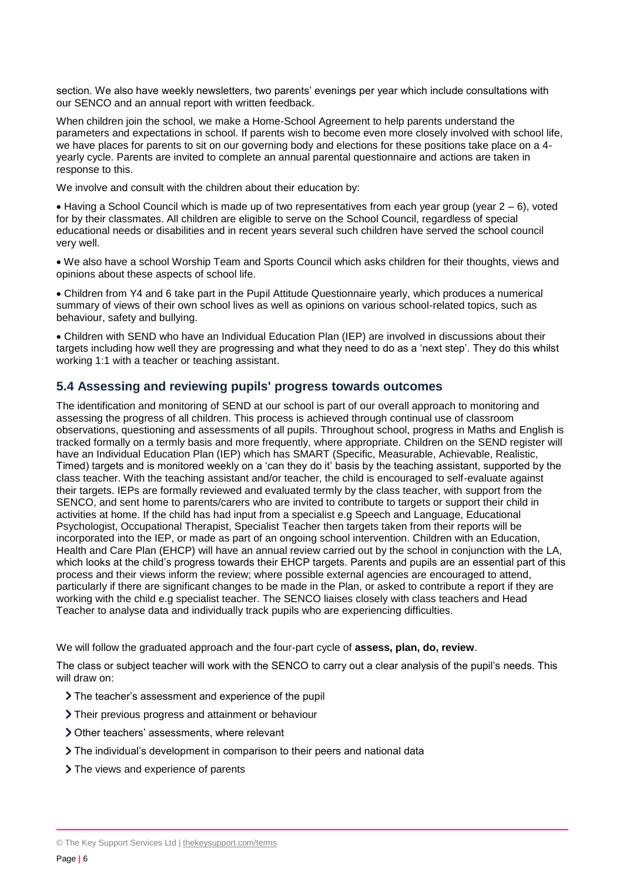section. We also have weekly newsletters, two parents' evenings per year which include consultations with our SENCO and an annual report with written feedback.

When children join the school, we make a Home-School Agreement to help parents understand the parameters and expectations in school. If parents wish to become even more closely involved with school life, we have places for parents to sit on our governing body and elections for these positions take place on a 4 yearly cycle. Parents are invited to complete an annual parental questionnaire and actions are taken in response to this.

We involve and consult with the children about their education by:

 $\bullet$  Having a School Council which is made up of two representatives from each year group (year  $2-6$ ), voted for by their classmates. All children are eligible to serve on the School Council, regardless of special educational needs or disabilities and in recent years several such children have served the school council very well.

 We also have a school Worship Team and Sports Council which asks children for their thoughts, views and opinions about these aspects of school life.

 Children from Y4 and 6 take part in the Pupil Attitude Questionnaire yearly, which produces a numerical summary of views of their own school lives as well as opinions on various school-related topics, such as behaviour, safety and bullying.

 Children with SEND who have an Individual Education Plan (IEP) are involved in discussions about their targets including how well they are progressing and what they need to do as a 'next step'. They do this whilst working 1:1 with a teacher or teaching assistant.

#### **5.4 Assessing and reviewing pupils' progress towards outcomes**

The identification and monitoring of SEND at our school is part of our overall approach to monitoring and assessing the progress of all children. This process is achieved through continual use of classroom observations, questioning and assessments of all pupils. Throughout school, progress in Maths and English is tracked formally on a termly basis and more frequently, where appropriate. Children on the SEND register will have an Individual Education Plan (IEP) which has SMART (Specific, Measurable, Achievable, Realistic, Timed) targets and is monitored weekly on a 'can they do it' basis by the teaching assistant, supported by the class teacher. With the teaching assistant and/or teacher, the child is encouraged to self-evaluate against their targets. IEPs are formally reviewed and evaluated termly by the class teacher, with support from the SENCO, and sent home to parents/carers who are invited to contribute to targets or support their child in activities at home. If the child has had input from a specialist e.g Speech and Language, Educational Psychologist, Occupational Therapist, Specialist Teacher then targets taken from their reports will be incorporated into the IEP, or made as part of an ongoing school intervention. Children with an Education, Health and Care Plan (EHCP) will have an annual review carried out by the school in conjunction with the LA, which looks at the child's progress towards their EHCP targets. Parents and pupils are an essential part of this process and their views inform the review; where possible external agencies are encouraged to attend, particularly if there are significant changes to be made in the Plan, or asked to contribute a report if they are working with the child e.g specialist teacher. The SENCO liaises closely with class teachers and Head Teacher to analyse data and individually track pupils who are experiencing difficulties.

We will follow the graduated approach and the four-part cycle of **assess, plan, do, review**.

The class or subject teacher will work with the SENCO to carry out a clear analysis of the pupil's needs. This will draw on:

- The teacher's assessment and experience of the pupil
- Their previous progress and attainment or behaviour
- Other teachers' assessments, where relevant
- The individual's development in comparison to their peers and national data
- > The views and experience of parents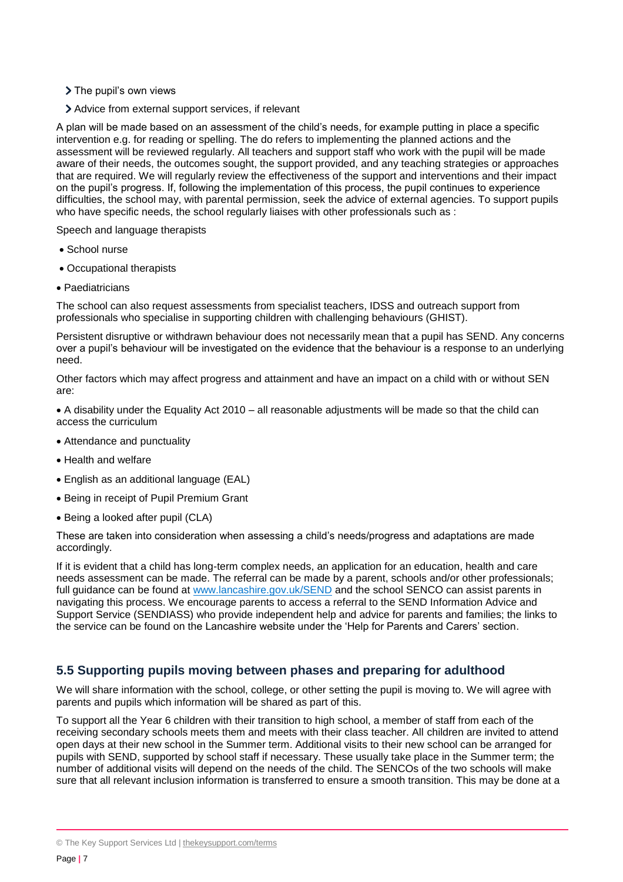- > The pupil's own views
- Advice from external support services, if relevant

A plan will be made based on an assessment of the child's needs, for example putting in place a specific intervention e.g. for reading or spelling. The do refers to implementing the planned actions and the assessment will be reviewed regularly. All teachers and support staff who work with the pupil will be made aware of their needs, the outcomes sought, the support provided, and any teaching strategies or approaches that are required. We will regularly review the effectiveness of the support and interventions and their impact on the pupil's progress. If, following the implementation of this process, the pupil continues to experience difficulties, the school may, with parental permission, seek the advice of external agencies. To support pupils who have specific needs, the school regularly liaises with other professionals such as :

Speech and language therapists

- School nurse
- Occupational therapists
- Paediatricians

The school can also request assessments from specialist teachers, IDSS and outreach support from professionals who specialise in supporting children with challenging behaviours (GHIST).

Persistent disruptive or withdrawn behaviour does not necessarily mean that a pupil has SEND. Any concerns over a pupil's behaviour will be investigated on the evidence that the behaviour is a response to an underlying need.

Other factors which may affect progress and attainment and have an impact on a child with or without SEN are:

 A disability under the Equality Act 2010 – all reasonable adjustments will be made so that the child can access the curriculum

- Attendance and punctuality
- Health and welfare
- English as an additional language (EAL)
- Being in receipt of Pupil Premium Grant
- Being a looked after pupil (CLA)

These are taken into consideration when assessing a child's needs/progress and adaptations are made accordingly.

If it is evident that a child has long-term complex needs, an application for an education, health and care needs assessment can be made. The referral can be made by a parent, schools and/or other professionals; full guidance can be found at [www.lancashire.gov.uk/SEND](http://www.lancashire.gov.uk/SEND) and the school SENCO can assist parents in navigating this process. We encourage parents to access a referral to the SEND Information Advice and Support Service (SENDIASS) who provide independent help and advice for parents and families; the links to the service can be found on the Lancashire website under the 'Help for Parents and Carers' section.

## **5.5 Supporting pupils moving between phases and preparing for adulthood**

We will share information with the school, college, or other setting the pupil is moving to. We will agree with parents and pupils which information will be shared as part of this.

To support all the Year 6 children with their transition to high school, a member of staff from each of the receiving secondary schools meets them and meets with their class teacher. All children are invited to attend open days at their new school in the Summer term. Additional visits to their new school can be arranged for pupils with SEND, supported by school staff if necessary. These usually take place in the Summer term; the number of additional visits will depend on the needs of the child. The SENCOs of the two schools will make sure that all relevant inclusion information is transferred to ensure a smooth transition. This may be done at a

<sup>©</sup> The Key Support Services Ltd | [thekeysupport.com/terms](https://thekeysupport.com/terms-of-use)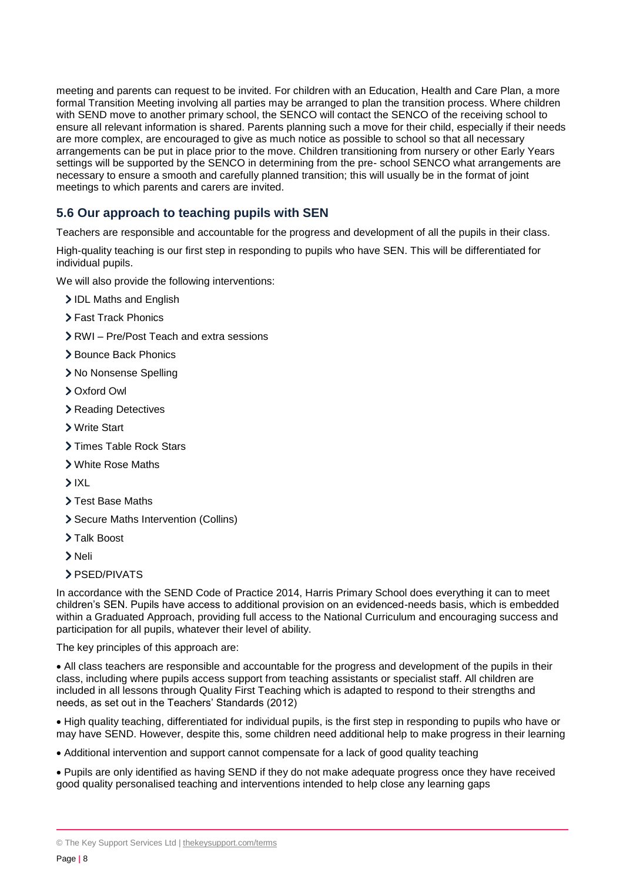meeting and parents can request to be invited. For children with an Education, Health and Care Plan, a more formal Transition Meeting involving all parties may be arranged to plan the transition process. Where children with SEND move to another primary school, the SENCO will contact the SENCO of the receiving school to ensure all relevant information is shared. Parents planning such a move for their child, especially if their needs are more complex, are encouraged to give as much notice as possible to school so that all necessary arrangements can be put in place prior to the move. Children transitioning from nursery or other Early Years settings will be supported by the SENCO in determining from the pre- school SENCO what arrangements are necessary to ensure a smooth and carefully planned transition; this will usually be in the format of joint meetings to which parents and carers are invited.

## **5.6 Our approach to teaching pupils with SEN**

Teachers are responsible and accountable for the progress and development of all the pupils in their class.

High-quality teaching is our first step in responding to pupils who have SEN. This will be differentiated for individual pupils.

We will also provide the following interventions:

- IDL Maths and English
- > Fast Track Phonics
- RWI Pre/Post Teach and extra sessions
- > Bounce Back Phonics
- > No Nonsense Spelling
- Oxford Owl
- > Reading Detectives
- Write Start
- > Times Table Rock Stars
- White Rose Maths
- $> IXL$
- > Test Base Maths
- Secure Maths Intervention (Collins)
- > Talk Boost
- > Neli
- > PSED/PIVATS

In accordance with the SEND Code of Practice 2014, Harris Primary School does everything it can to meet children's SEN. Pupils have access to additional provision on an evidenced-needs basis, which is embedded within a Graduated Approach, providing full access to the National Curriculum and encouraging success and participation for all pupils, whatever their level of ability.

The key principles of this approach are:

 All class teachers are responsible and accountable for the progress and development of the pupils in their class, including where pupils access support from teaching assistants or specialist staff. All children are included in all lessons through Quality First Teaching which is adapted to respond to their strengths and needs, as set out in the Teachers' Standards (2012)

 High quality teaching, differentiated for individual pupils, is the first step in responding to pupils who have or may have SEND. However, despite this, some children need additional help to make progress in their learning

Additional intervention and support cannot compensate for a lack of good quality teaching

 Pupils are only identified as having SEND if they do not make adequate progress once they have received good quality personalised teaching and interventions intended to help close any learning gaps

<sup>©</sup> The Key Support Services Ltd | [thekeysupport.com/terms](https://thekeysupport.com/terms-of-use)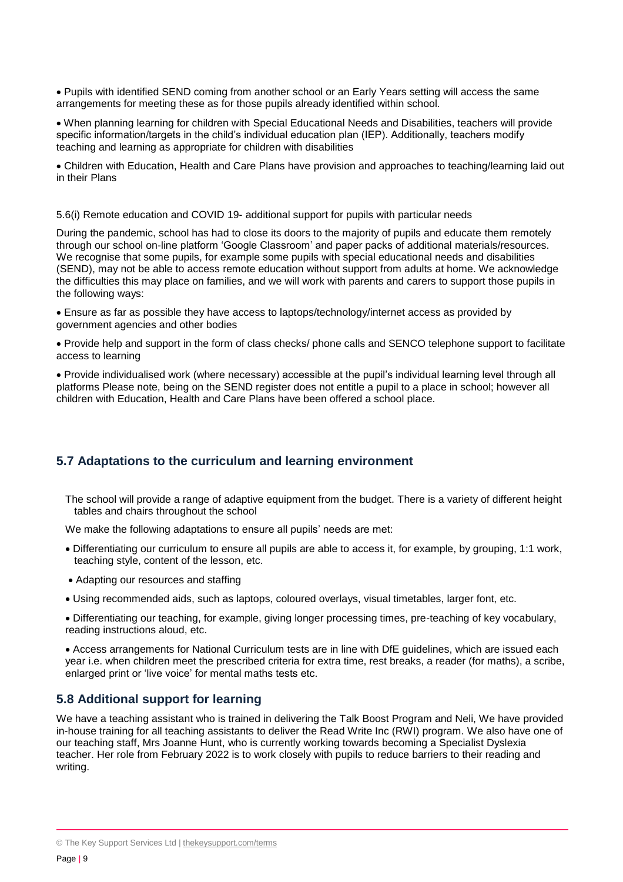Pupils with identified SEND coming from another school or an Early Years setting will access the same arrangements for meeting these as for those pupils already identified within school.

 When planning learning for children with Special Educational Needs and Disabilities, teachers will provide specific information/targets in the child's individual education plan (IEP). Additionally, teachers modify teaching and learning as appropriate for children with disabilities

 Children with Education, Health and Care Plans have provision and approaches to teaching/learning laid out in their Plans

5.6(i) Remote education and COVID 19- additional support for pupils with particular needs

During the pandemic, school has had to close its doors to the majority of pupils and educate them remotely through our school on-line platform 'Google Classroom' and paper packs of additional materials/resources. We recognise that some pupils, for example some pupils with special educational needs and disabilities (SEND), may not be able to access remote education without support from adults at home. We acknowledge the difficulties this may place on families, and we will work with parents and carers to support those pupils in the following ways:

 Ensure as far as possible they have access to laptops/technology/internet access as provided by government agencies and other bodies

 Provide help and support in the form of class checks/ phone calls and SENCO telephone support to facilitate access to learning

 Provide individualised work (where necessary) accessible at the pupil's individual learning level through all platforms Please note, being on the SEND register does not entitle a pupil to a place in school; however all children with Education, Health and Care Plans have been offered a school place.

## **5.7 Adaptations to the curriculum and learning environment**

The school will provide a range of adaptive equipment from the budget. There is a variety of different height tables and chairs throughout the school

We make the following adaptations to ensure all pupils' needs are met:

- Differentiating our curriculum to ensure all pupils are able to access it, for example, by grouping, 1:1 work, teaching style, content of the lesson, etc.
- Adapting our resources and staffing
- Using recommended aids, such as laptops, coloured overlays, visual timetables, larger font, etc.
- Differentiating our teaching, for example, giving longer processing times, pre-teaching of key vocabulary, reading instructions aloud, etc.

 Access arrangements for National Curriculum tests are in line with DfE guidelines, which are issued each year i.e. when children meet the prescribed criteria for extra time, rest breaks, a reader (for maths), a scribe, enlarged print or 'live voice' for mental maths tests etc.

#### **5.8 Additional support for learning**

We have a teaching assistant who is trained in delivering the Talk Boost Program and Neli, We have provided in-house training for all teaching assistants to deliver the Read Write Inc (RWI) program. We also have one of our teaching staff, Mrs Joanne Hunt, who is currently working towards becoming a Specialist Dyslexia teacher. Her role from February 2022 is to work closely with pupils to reduce barriers to their reading and writing.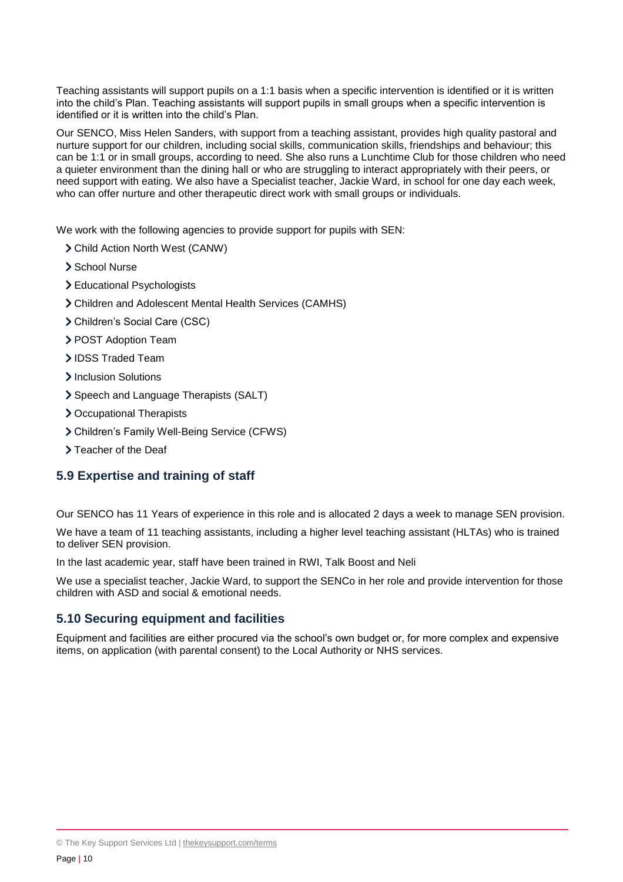Teaching assistants will support pupils on a 1:1 basis when a specific intervention is identified or it is written into the child's Plan. Teaching assistants will support pupils in small groups when a specific intervention is identified or it is written into the child's Plan.

Our SENCO, Miss Helen Sanders, with support from a teaching assistant, provides high quality pastoral and nurture support for our children, including social skills, communication skills, friendships and behaviour; this can be 1:1 or in small groups, according to need. She also runs a Lunchtime Club for those children who need a quieter environment than the dining hall or who are struggling to interact appropriately with their peers, or need support with eating. We also have a Specialist teacher, Jackie Ward, in school for one day each week, who can offer nurture and other therapeutic direct work with small groups or individuals.

We work with the following agencies to provide support for pupils with SEN:

- Child Action North West (CANW)
- > School Nurse
- Educational Psychologists
- Children and Adolescent Mental Health Services (CAMHS)
- Children's Social Care (CSC)
- > POST Adoption Team
- > IDSS Traded Team
- > Inclusion Solutions
- > Speech and Language Therapists (SALT)
- > Occupational Therapists
- Children's Family Well-Being Service (CFWS)
- > Teacher of the Deaf

#### **5.9 Expertise and training of staff**

Our SENCO has 11 Years of experience in this role and is allocated 2 days a week to manage SEN provision.

We have a team of 11 teaching assistants, including a higher level teaching assistant (HLTAs) who is trained to deliver SEN provision.

In the last academic year, staff have been trained in RWI, Talk Boost and Neli

We use a specialist teacher, Jackie Ward, to support the SENCo in her role and provide intervention for those children with ASD and social & emotional needs.

#### **5.10 Securing equipment and facilities**

Equipment and facilities are either procured via the school's own budget or, for more complex and expensive items, on application (with parental consent) to the Local Authority or NHS services.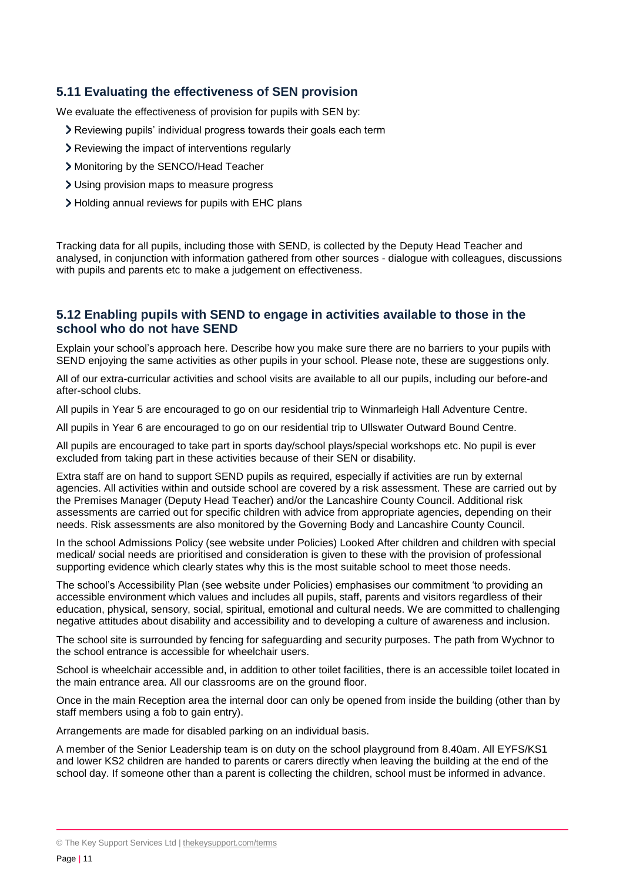### **5.11 Evaluating the effectiveness of SEN provision**

We evaluate the effectiveness of provision for pupils with SEN by:

- Reviewing pupils' individual progress towards their goals each term
- Reviewing the impact of interventions regularly
- Monitoring by the SENCO/Head Teacher
- Using provision maps to measure progress
- Holding annual reviews for pupils with EHC plans

Tracking data for all pupils, including those with SEND, is collected by the Deputy Head Teacher and analysed, in conjunction with information gathered from other sources - dialogue with colleagues, discussions with pupils and parents etc to make a judgement on effectiveness.

#### **5.12 Enabling pupils with SEND to engage in activities available to those in the school who do not have SEND**

Explain your school's approach here. Describe how you make sure there are no barriers to your pupils with SEND enjoying the same activities as other pupils in your school. Please note, these are suggestions only.

All of our extra-curricular activities and school visits are available to all our pupils, including our before-and after-school clubs.

All pupils in Year 5 are encouraged to go on our residential trip to Winmarleigh Hall Adventure Centre.

All pupils in Year 6 are encouraged to go on our residential trip to Ullswater Outward Bound Centre.

All pupils are encouraged to take part in sports day/school plays/special workshops etc. No pupil is ever excluded from taking part in these activities because of their SEN or disability.

Extra staff are on hand to support SEND pupils as required, especially if activities are run by external agencies. All activities within and outside school are covered by a risk assessment. These are carried out by the Premises Manager (Deputy Head Teacher) and/or the Lancashire County Council. Additional risk assessments are carried out for specific children with advice from appropriate agencies, depending on their needs. Risk assessments are also monitored by the Governing Body and Lancashire County Council.

In the school Admissions Policy (see website under Policies) Looked After children and children with special medical/ social needs are prioritised and consideration is given to these with the provision of professional supporting evidence which clearly states why this is the most suitable school to meet those needs.

The school's Accessibility Plan (see website under Policies) emphasises our commitment 'to providing an accessible environment which values and includes all pupils, staff, parents and visitors regardless of their education, physical, sensory, social, spiritual, emotional and cultural needs. We are committed to challenging negative attitudes about disability and accessibility and to developing a culture of awareness and inclusion.

The school site is surrounded by fencing for safeguarding and security purposes. The path from Wychnor to the school entrance is accessible for wheelchair users.

School is wheelchair accessible and, in addition to other toilet facilities, there is an accessible toilet located in the main entrance area. All our classrooms are on the ground floor.

Once in the main Reception area the internal door can only be opened from inside the building (other than by staff members using a fob to gain entry).

Arrangements are made for disabled parking on an individual basis.

A member of the Senior Leadership team is on duty on the school playground from 8.40am. All EYFS/KS1 and lower KS2 children are handed to parents or carers directly when leaving the building at the end of the school day. If someone other than a parent is collecting the children, school must be informed in advance.

<sup>©</sup> The Key Support Services Ltd | [thekeysupport.com/terms](https://thekeysupport.com/terms-of-use)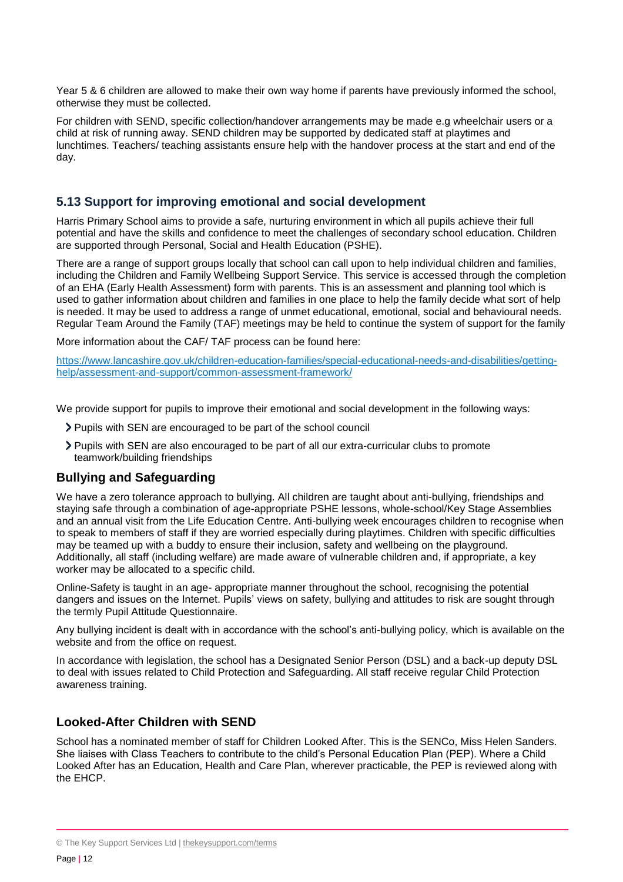Year 5 & 6 children are allowed to make their own way home if parents have previously informed the school, otherwise they must be collected.

For children with SEND, specific collection/handover arrangements may be made e.g wheelchair users or a child at risk of running away. SEND children may be supported by dedicated staff at playtimes and lunchtimes. Teachers/ teaching assistants ensure help with the handover process at the start and end of the day.

### **5.13 Support for improving emotional and social development**

Harris Primary School aims to provide a safe, nurturing environment in which all pupils achieve their full potential and have the skills and confidence to meet the challenges of secondary school education. Children are supported through Personal, Social and Health Education (PSHE).

There are a range of support groups locally that school can call upon to help individual children and families, including the Children and Family Wellbeing Support Service. This service is accessed through the completion of an EHA (Early Health Assessment) form with parents. This is an assessment and planning tool which is used to gather information about children and families in one place to help the family decide what sort of help is needed. It may be used to address a range of unmet educational, emotional, social and behavioural needs. Regular Team Around the Family (TAF) meetings may be held to continue the system of support for the family

More information about the CAF/ TAF process can be found here:

[https://www.lancashire.gov.uk/children-education-families/special-educational-needs-and-disabilities/getting](https://www.lancashire.gov.uk/children-education-families/special-educational-needs-and-disabilities/getting-help/assessment-and-support/common-assessment-framework/)[help/assessment-and-support/common-assessment-framework/](https://www.lancashire.gov.uk/children-education-families/special-educational-needs-and-disabilities/getting-help/assessment-and-support/common-assessment-framework/)

We provide support for pupils to improve their emotional and social development in the following ways:

- Pupils with SEN are encouraged to be part of the school council
- Pupils with SEN are also encouraged to be part of all our extra-curricular clubs to promote teamwork/building friendships

#### **Bullying and Safeguarding**

We have a zero tolerance approach to bullying. All children are taught about anti-bullying, friendships and staying safe through a combination of age-appropriate PSHE lessons, whole-school/Key Stage Assemblies and an annual visit from the Life Education Centre. Anti-bullying week encourages children to recognise when to speak to members of staff if they are worried especially during playtimes. Children with specific difficulties may be teamed up with a buddy to ensure their inclusion, safety and wellbeing on the playground. Additionally, all staff (including welfare) are made aware of vulnerable children and, if appropriate, a key worker may be allocated to a specific child.

Online-Safety is taught in an age- appropriate manner throughout the school, recognising the potential dangers and issues on the Internet. Pupils' views on safety, bullying and attitudes to risk are sought through the termly Pupil Attitude Questionnaire.

Any bullying incident is dealt with in accordance with the school's anti-bullying policy, which is available on the website and from the office on request.

In accordance with legislation, the school has a Designated Senior Person (DSL) and a back-up deputy DSL to deal with issues related to Child Protection and Safeguarding. All staff receive regular Child Protection awareness training.

#### **Looked-After Children with SEND**

School has a nominated member of staff for Children Looked After. This is the SENCo, Miss Helen Sanders. She liaises with Class Teachers to contribute to the child's Personal Education Plan (PEP). Where a Child Looked After has an Education, Health and Care Plan, wherever practicable, the PEP is reviewed along with the EHCP.

<sup>©</sup> The Key Support Services Ltd | [thekeysupport.com/terms](https://thekeysupport.com/terms-of-use)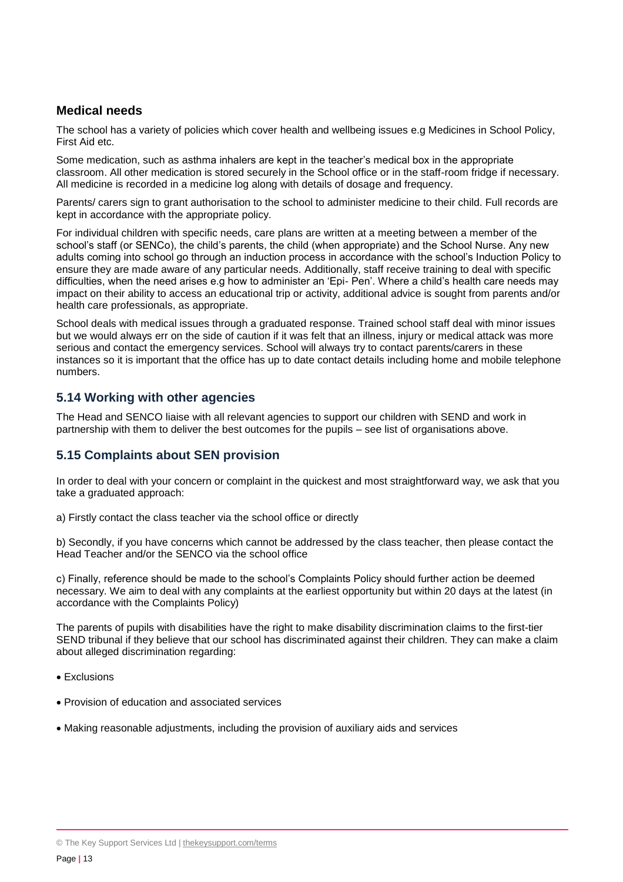## **Medical needs**

The school has a variety of policies which cover health and wellbeing issues e.g Medicines in School Policy, First Aid etc.

Some medication, such as asthma inhalers are kept in the teacher's medical box in the appropriate classroom. All other medication is stored securely in the School office or in the staff-room fridge if necessary. All medicine is recorded in a medicine log along with details of dosage and frequency.

Parents/ carers sign to grant authorisation to the school to administer medicine to their child. Full records are kept in accordance with the appropriate policy.

For individual children with specific needs, care plans are written at a meeting between a member of the school's staff (or SENCo), the child's parents, the child (when appropriate) and the School Nurse. Any new adults coming into school go through an induction process in accordance with the school's Induction Policy to ensure they are made aware of any particular needs. Additionally, staff receive training to deal with specific difficulties, when the need arises e.g how to administer an 'Epi- Pen'. Where a child's health care needs may impact on their ability to access an educational trip or activity, additional advice is sought from parents and/or health care professionals, as appropriate.

School deals with medical issues through a graduated response. Trained school staff deal with minor issues but we would always err on the side of caution if it was felt that an illness, injury or medical attack was more serious and contact the emergency services. School will always try to contact parents/carers in these instances so it is important that the office has up to date contact details including home and mobile telephone numbers.

## **5.14 Working with other agencies**

The Head and SENCO liaise with all relevant agencies to support our children with SEND and work in partnership with them to deliver the best outcomes for the pupils – see list of organisations above.

## **5.15 Complaints about SEN provision**

In order to deal with your concern or complaint in the quickest and most straightforward way, we ask that you take a graduated approach:

a) Firstly contact the class teacher via the school office or directly

b) Secondly, if you have concerns which cannot be addressed by the class teacher, then please contact the Head Teacher and/or the SENCO via the school office

c) Finally, reference should be made to the school's Complaints Policy should further action be deemed necessary. We aim to deal with any complaints at the earliest opportunity but within 20 days at the latest (in accordance with the Complaints Policy)

The parents of pupils with disabilities have the right to make disability discrimination claims to the first-tier SEND tribunal if they believe that our school has discriminated against their children. They can make a claim about alleged discrimination regarding:

- Exclusions
- Provision of education and associated services
- Making reasonable adjustments, including the provision of auxiliary aids and services